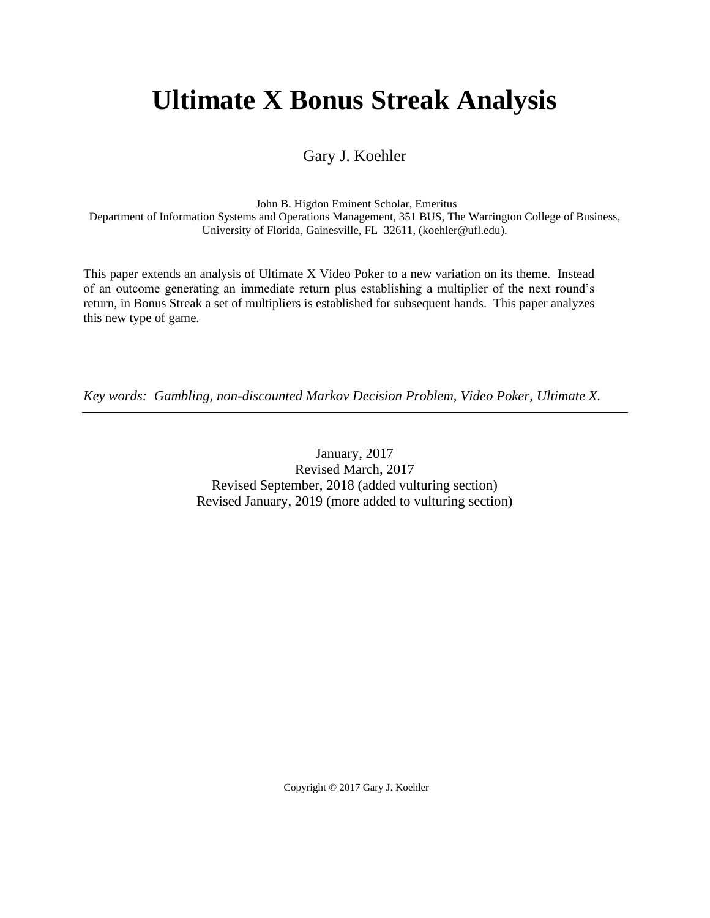# **Ultimate X Bonus Streak Analysis**

Gary J. Koehler

John B. Higdon Eminent Scholar, Emeritus

Department of Information Systems and Operations Management, 351 BUS, The Warrington College of Business, University of Florida, Gainesville, FL 32611, (koehler@ufl.edu).

This paper extends an analysis of Ultimate X Video Poker to a new variation on its theme. Instead of an outcome generating an immediate return plus establishing a multiplier of the next round's return, in Bonus Streak a set of multipliers is established for subsequent hands. This paper analyzes this new type of game.

*Key words: Gambling, non-discounted Markov Decision Problem, Video Poker, Ultimate X.*

January, 2017 Revised March, 2017 Revised September, 2018 (added vulturing section) Revised January, 2019 (more added to vulturing section)

Copyright © 2017 Gary J. Koehler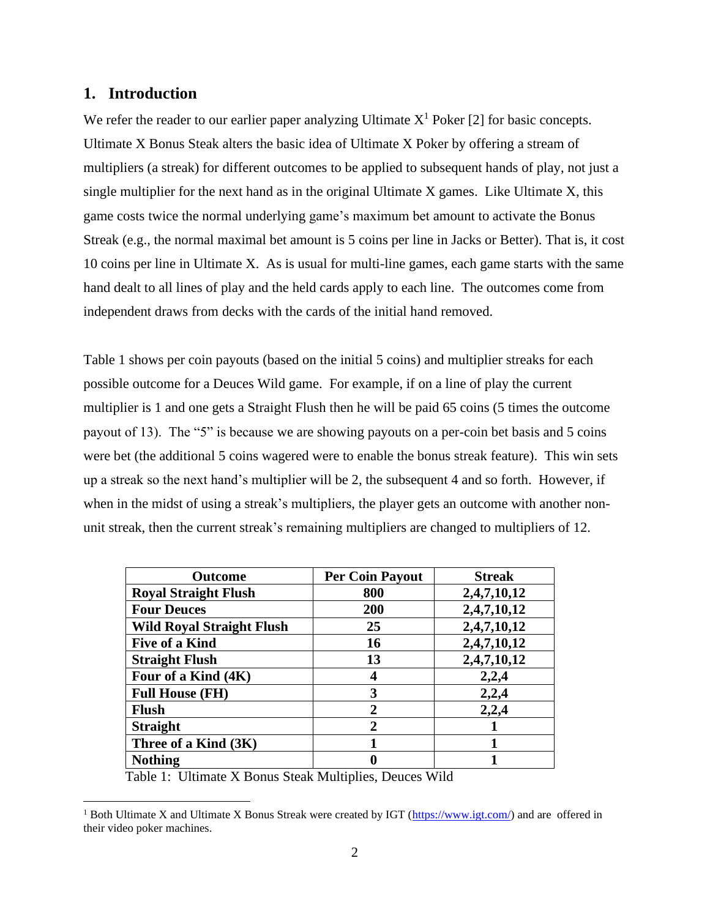## **1. Introduction**

We refer the reader to our earlier paper analyzing Ultimate  $X<sup>1</sup>$  Poker [2] for basic concepts. Ultimate X Bonus Steak alters the basic idea of Ultimate X Poker by offering a stream of multipliers (a streak) for different outcomes to be applied to subsequent hands of play, not just a single multiplier for the next hand as in the original Ultimate X games. Like Ultimate X, this game costs twice the normal underlying game's maximum bet amount to activate the Bonus Streak (e.g., the normal maximal bet amount is 5 coins per line in Jacks or Better). That is, it cost 10 coins per line in Ultimate X. As is usual for multi-line games, each game starts with the same hand dealt to all lines of play and the held cards apply to each line. The outcomes come from independent draws from decks with the cards of the initial hand removed.

Table 1 shows per coin payouts (based on the initial 5 coins) and multiplier streaks for each possible outcome for a Deuces Wild game. For example, if on a line of play the current multiplier is 1 and one gets a Straight Flush then he will be paid 65 coins (5 times the outcome payout of 13). The "5" is because we are showing payouts on a per-coin bet basis and 5 coins were bet (the additional 5 coins wagered were to enable the bonus streak feature). This win sets up a streak so the next hand's multiplier will be 2, the subsequent 4 and so forth. However, if when in the midst of using a streak's multipliers, the player gets an outcome with another nonunit streak, then the current streak's remaining multipliers are changed to multipliers of 12.

| <b>Outcome</b>                   | <b>Per Coin Payout</b> | <b>Streak</b> |
|----------------------------------|------------------------|---------------|
| <b>Royal Straight Flush</b>      | 800                    | 2,4,7,10,12   |
| <b>Four Deuces</b>               | 200                    | 2,4,7,10,12   |
| <b>Wild Royal Straight Flush</b> | 25                     | 2,4,7,10,12   |
| <b>Five of a Kind</b>            | 16                     | 2,4,7,10,12   |
| <b>Straight Flush</b>            | 13                     | 2,4,7,10,12   |
| Four of a Kind (4K)              |                        | 2,2,4         |
| <b>Full House (FH)</b>           | 3                      | 2,2,4         |
| <b>Flush</b>                     | $\mathbf{c}$           | 2,2,4         |
| <b>Straight</b>                  | $\mathbf{2}$           |               |
| Three of a Kind (3K)             |                        |               |
| <b>Nothing</b>                   |                        |               |

Table 1: Ultimate X Bonus Steak Multiplies, Deuces Wild

<sup>&</sup>lt;sup>1</sup> Both Ultimate X and Ultimate X Bonus Streak were created by IGT [\(https://www.igt.com/\)](https://www.igt.com/) and are offered in their video poker machines.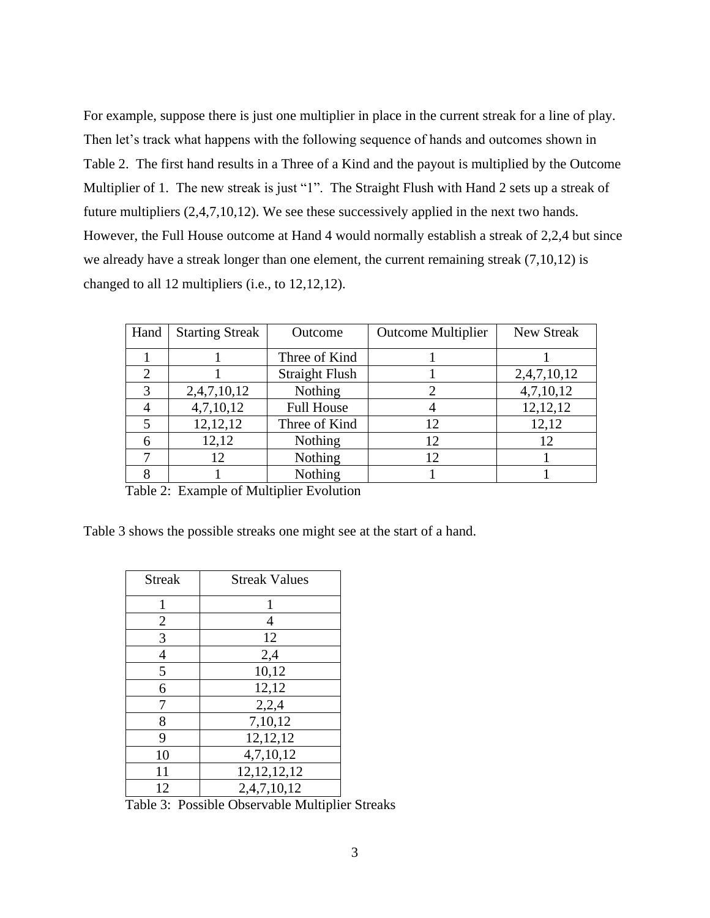For example, suppose there is just one multiplier in place in the current streak for a line of play. Then let's track what happens with the following sequence of hands and outcomes shown in Table 2. The first hand results in a Three of a Kind and the payout is multiplied by the Outcome Multiplier of 1. The new streak is just "1". The Straight Flush with Hand 2 sets up a streak of future multipliers (2,4,7,10,12). We see these successively applied in the next two hands. However, the Full House outcome at Hand 4 would normally establish a streak of 2,2,4 but since we already have a streak longer than one element, the current remaining streak (7,10,12) is changed to all 12 multipliers (i.e., to 12,12,12).

| Hand | <b>Starting Streak</b> | Outcome               | <b>Outcome Multiplier</b> | New Streak  |
|------|------------------------|-----------------------|---------------------------|-------------|
|      |                        | Three of Kind         |                           |             |
| 2    |                        | <b>Straight Flush</b> |                           | 2,4,7,10,12 |
| 3    | 2,4,7,10,12            | Nothing               |                           | 4,7,10,12   |
|      | 4,7,10,12              | <b>Full House</b>     |                           | 12, 12, 12  |
|      | 12, 12, 12             | Three of Kind         | 12                        | 12,12       |
|      | 12,12                  | Nothing               | 12                        |             |
|      | 12                     | Nothing               | 12                        |             |
|      |                        | Nothing               |                           |             |

Table 2: Example of Multiplier Evolution

Table 3 shows the possible streaks one might see at the start of a hand.

| <b>Streak</b>  | <b>Streak Values</b> |
|----------------|----------------------|
| 1              | 1                    |
| $\overline{2}$ | 4                    |
| 3              | 12                   |
| $\overline{4}$ | 2,4                  |
| 5              | 10,12                |
| 6              | 12,12                |
| 7              | 2,2,4                |
| 8              | 7,10,12              |
| 9              | 12,12,12             |
| 10             | 4,7,10,12            |
| 11             | 12, 12, 12, 12       |
| 12             | 2,4,7,10,12          |

Table 3: Possible Observable Multiplier Streaks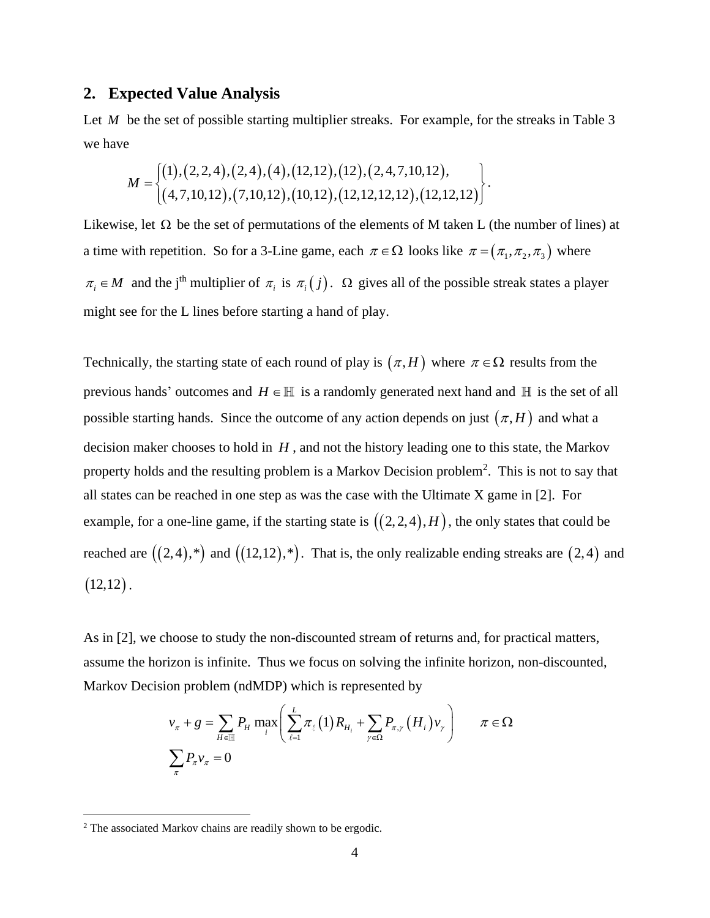#### **2. Expected Value Analysis**

Let *M* be the set of possible starting multiplier streaks. For example, for the streaks in Table 3 we have

$$
M = \begin{cases} (1), (2,2,4), (2,4), (4), (12,12), (12), (2,4,7,10,12), \\ (4,7,10,12), (7,10,12), (10,12), (12,12,12,12), (12,12,12) \end{cases}.
$$

Likewise, let  $\Omega$  be the set of permutations of the elements of M taken L (the number of lines) at a time with repetition. So for a 3-Line game, each  $\pi \in \Omega$  looks like  $\pi = (\pi_1, \pi_2, \pi_3)$  where  $\pi_i \in M$  and the j<sup>th</sup> multiplier of  $\pi_i$  is  $\pi_i(j)$ .  $\Omega$  gives all of the possible streak states a player might see for the L lines before starting a hand of play.

Technically, the starting state of each round of play is  $(\pi, H)$  where  $\pi \in \Omega$  results from the previous hands' outcomes and  $H \in \mathbb{H}$  is a randomly generated next hand and  $\mathbb{H}$  is the set of all possible starting hands. Since the outcome of any action depends on just  $(\pi, H)$  and what a decision maker chooses to hold in *H* , and not the history leading one to this state, the Markov property holds and the resulting problem is a Markov Decision problem<sup>2</sup>. This is not to say that all states can be reached in one step as was the case with the Ultimate X game in [2]. For example, for a one-line game, if the starting state is  $((2,2,4),H)$ , the only states that could be reached are  $((2,4),*)$  and  $((12,12),*)$ . That is, the only realizable ending streaks are  $(2,4)$  and  $(12,12)$ .

As in [2], we choose to study the non-discounted stream of returns and, for practical matters, assume the horizon is infinite. Thus we focus on solving the infinite horizon, non-discounted, Markov Decision problem (ndMDP) which is represented by

$$
v_{\pi} + g = \sum_{H \in \mathbb{H}} P_H \max_{i} \left( \sum_{\ell=1}^{L} \pi_{\ell} (1) R_{H_i} + \sum_{\gamma \in \Omega} P_{\pi, \gamma} (H_i) v_{\gamma} \right) \qquad \pi \in \Omega
$$
  

$$
\sum_{\pi} P_{\pi} v_{\pi} = 0
$$

<sup>2</sup> The associated Markov chains are readily shown to be ergodic.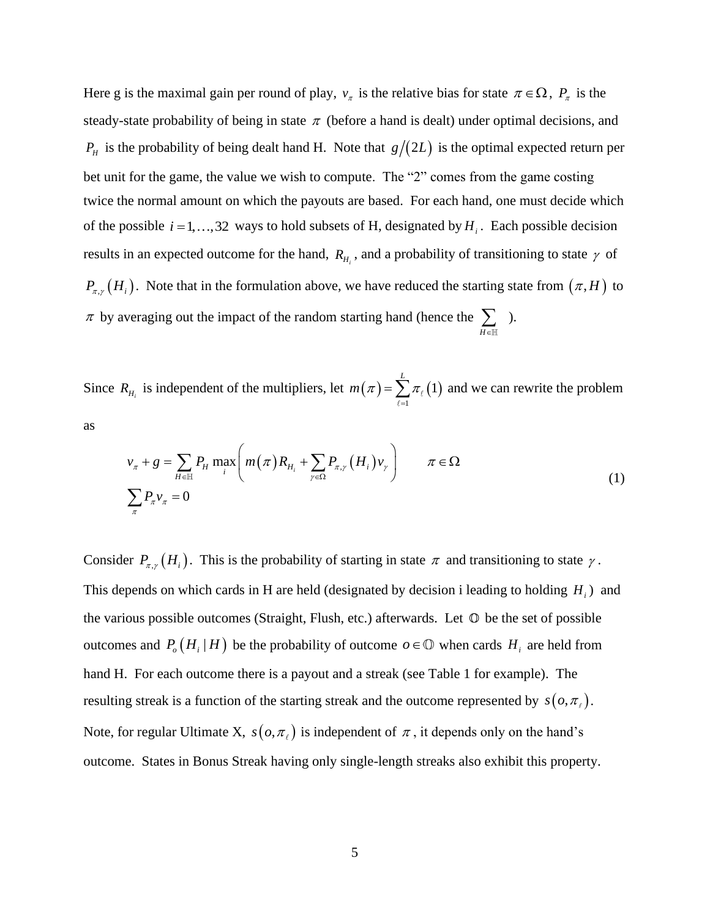Here g is the maximal gain per round of play,  $v_\tau$  is the relative bias for state  $\pi \in \Omega$ ,  $P_\tau$  is the steady-state probability of being in state  $\pi$  (before a hand is dealt) under optimal decisions, and  $P<sub>H</sub>$  is the probability of being dealt hand H. Note that  $g/(2L)$  is the optimal expected return per bet unit for the game, the value we wish to compute. The "2" comes from the game costing twice the normal amount on which the payouts are based. For each hand, one must decide which of the possible  $i = 1, \ldots, 32$  ways to hold subsets of H, designated by  $H_i$ . Each possible decision results in an expected outcome for the hand,  $R_{H_i}$ , and a probability of transitioning to state  $\gamma$  of  $P_{\pi,\gamma}(H_i)$ . Note that in the formulation above, we have reduced the starting state from  $(\pi,H)$  to  $\pi$  by averaging out the impact of the random starting hand (hence the  $\sum_{H \in \mathbb{H}}$  ).

Since  $R_{H_i}$  is independent of the multipliers, let  $m(\pi) = \sum_{\ell=1}^n \pi_\ell(1)$ 1 *L*  $m(\pi) = \sum \pi$ =  $=\sum \pi$ <sub>l</sub>(1) and we can rewrite the problem

as

$$
v_{\pi} + g = \sum_{H \in \mathbb{H}} P_H \max_i \left( m(\pi) R_{H_i} + \sum_{\gamma \in \Omega} P_{\pi, \gamma} (H_i) v_{\gamma} \right) \qquad \pi \in \Omega
$$
  

$$
\sum_{\pi} P_{\pi} v_{\pi} = 0
$$
 (1)

Consider  $P_{\pi,\gamma}(H_i)$ . This is the probability of starting in state  $\pi$  and transitioning to state  $\gamma$ . This depends on which cards in H are held (designated by decision i leading to holding *H<sup>i</sup>* ) and the various possible outcomes (Straight, Flush, etc.) afterwards. Let  $\mathbb O$  be the set of possible outcomes and  $P_o(H_i | H)$  be the probability of outcome  $o \in \mathbb{O}$  when cards  $H_i$  are held from hand H. For each outcome there is a payout and a streak (see Table 1 for example). The resulting streak is a function of the starting streak and the outcome represented by  $s(o, \pi)$ . Note, for regular Ultimate X,  $s(o, \pi_e)$  is independent of  $\pi$ , it depends only on the hand's outcome. States in Bonus Streak having only single-length streaks also exhibit this property.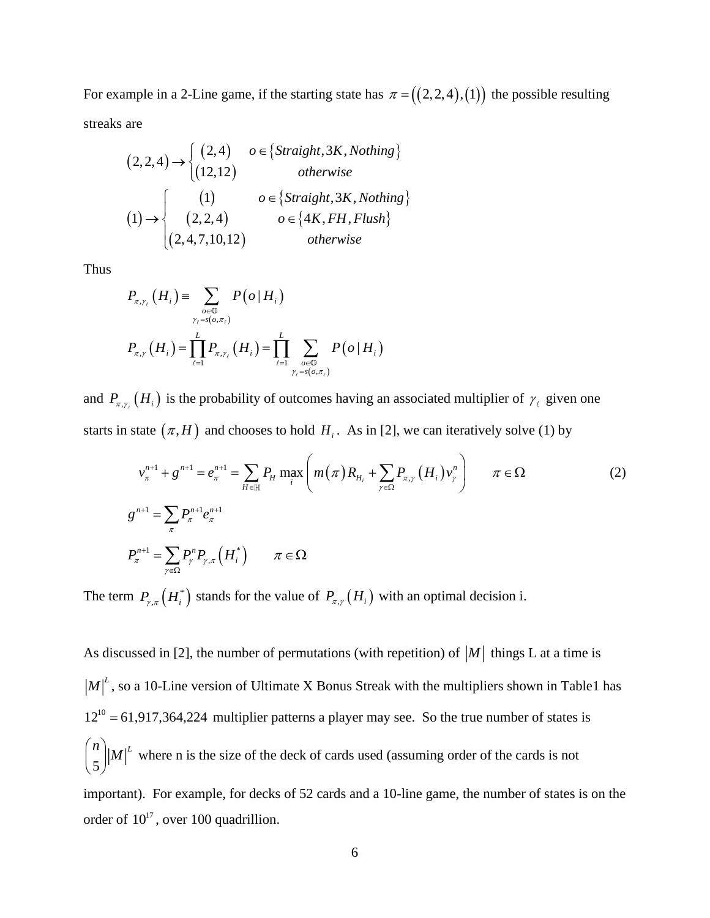For example in a 2-Line game, if the starting state has  $\pi = ((2,2,4),(1))$  the possible resulting streaks are

$$
(2,2,4) \rightarrow \begin{cases} (2,4) & o \in \{Straight, 3K, Nothing\} \\ (12,12) & otherwise \end{cases}
$$
  
\n
$$
(1) \rightarrow \begin{cases} (1) & o \in \{Straight, 3K, Nothing\} \\ (2,2,4) & o \in \{4K, FH, Fluxh\} \\ (2,4,7,10,12) & otherwise \end{cases}
$$

Thus

$$
P_{\pi,\gamma_{\ell}}(H_i) = \sum_{o \in \mathbb{O} \atop \gamma_{\ell} = s(o,\pi_{\ell})} P(o | H_i)
$$
  

$$
P_{\pi,\gamma}(H_i) = \prod_{\ell=1}^{L} P_{\pi,\gamma_{\ell}}(H_i) = \prod_{\ell=1}^{L} \sum_{o \in \mathbb{O} \atop \gamma_{\ell} = s(o,\pi_{\ell})} P(o | H_i)
$$

and  $P_{\pi,\gamma}$  (H<sub>i</sub>) is the probability of outcomes having an associated multiplier of  $\gamma_{\ell}$  given one starts in state  $(\pi, H)$  and chooses to hold  $H_i$ . As in [2], we can iteratively solve (1) by

$$
v_{\pi}^{n+1} + g^{n+1} = e_{\pi}^{n+1} = \sum_{H \in \mathbb{H}} P_H \max_{i} \left( m(\pi) R_{H_i} + \sum_{\gamma \in \Omega} P_{\pi, \gamma} (H_i) v_{\gamma}^{n} \right) \qquad \pi \in \Omega
$$
  

$$
g^{n+1} = \sum_{\pi} P_{\pi}^{n+1} e_{\pi}^{n+1}
$$
  

$$
P_{\pi}^{n+1} = \sum_{\gamma \in \Omega} P_{\gamma}^{n} P_{\gamma, \pi} (H_i^*) \qquad \pi \in \Omega
$$
 (2)

The term  $P_{\gamma,\pi}(H_i^*)$  stands for the value of  $P_{\pi,\gamma}(H_i)$  with an optimal decision i.

As discussed in [2], the number of permutations (with repetition) of  $|M|$  things L at a time is  $M\vert L^2$ , so a 10-Line version of Ultimate X Bonus Streak with the multipliers shown in Table1 has  $12^{10}$  = 61,917,364,224 multiplier patterns a player may see. So the true number of states is 5  $\binom{n}{5}$   $|M|^L$ where n is the size of the deck of cards used (assuming order of the cards is not important). For example, for decks of 52 cards and a 10-line game, the number of states is on the order of  $10^{17}$ , over 100 quadrillion.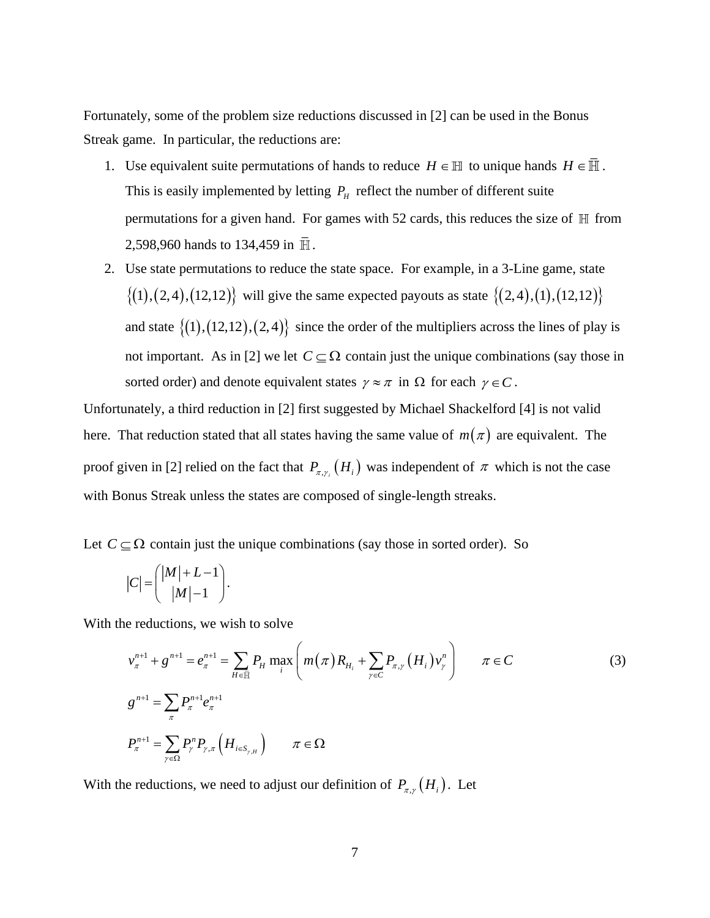Fortunately, some of the problem size reductions discussed in [2] can be used in the Bonus Streak game. In particular, the reductions are:

- 1. Use equivalent suite permutations of hands to reduce  $H \in \mathbb{H}$  to unique hands  $H \in \overline{\mathbb{H}}$ . This is easily implemented by letting  $P_H$  reflect the number of different suite permutations for a given hand. For games with 52 cards, this reduces the size of  $\mathbb H$  from 2,598,960 hands to 134,459 in  $\bar{H}$ .
- 2. Use state permutations to reduce the state space. For example, in a 3-Line game, state  $\{(1), (2,4), (12,12)\}\$  will give the same expected payouts as state  $\{(2,4), (1), (12,12)\}\$ and state  $\{(1), (12, 12), (2, 4)\}$  since the order of the multipliers across the lines of play is not important. As in [2] we let  $C \subseteq \Omega$  contain just the unique combinations (say those in sorted order) and denote equivalent states  $\gamma \approx \pi$  in  $\Omega$  for each  $\gamma \in C$ .

Unfortunately, a third reduction in [2] first suggested by Michael Shackelford [4] is not valid here. That reduction stated that all states having the same value of  $m(\pi)$  are equivalent. The proof given in [2] relied on the fact that  $P_{\pi, \gamma} (H_i)$  was independent of  $\pi$  which is not the case with Bonus Streak unless the states are composed of single-length streaks.

Let  $C \subseteq \Omega$  contain just the unique combinations (say those in sorted order). So

$$
|C| = \binom{|M|+L-1}{|M|-1}.
$$

With the reductions, we wish to solve

$$
v_{\pi}^{n+1} + g^{n+1} = e_{\pi}^{n+1} = \sum_{H \in \bar{\mathbb{H}}} P_H \max_{i} \left( m(\pi) R_{H_i} + \sum_{\gamma \in C} P_{\pi, \gamma} (H_i) v_{\gamma}^{n} \right) \qquad \pi \in C
$$
\n(3)  
\n
$$
g^{n+1} = \sum_{\pi} P_{\pi}^{n+1} e_{\pi}^{n+1}
$$
\n
$$
P_{\pi}^{n+1} = \sum_{\gamma \in \Omega} P_{\gamma}^{n} P_{\gamma, \pi} (H_{i \in S_{\gamma, H}}) \qquad \pi \in \Omega
$$

With the reductions, we need to adjust our definition of  $P_{\pi,\gamma}(H_i)$ . Let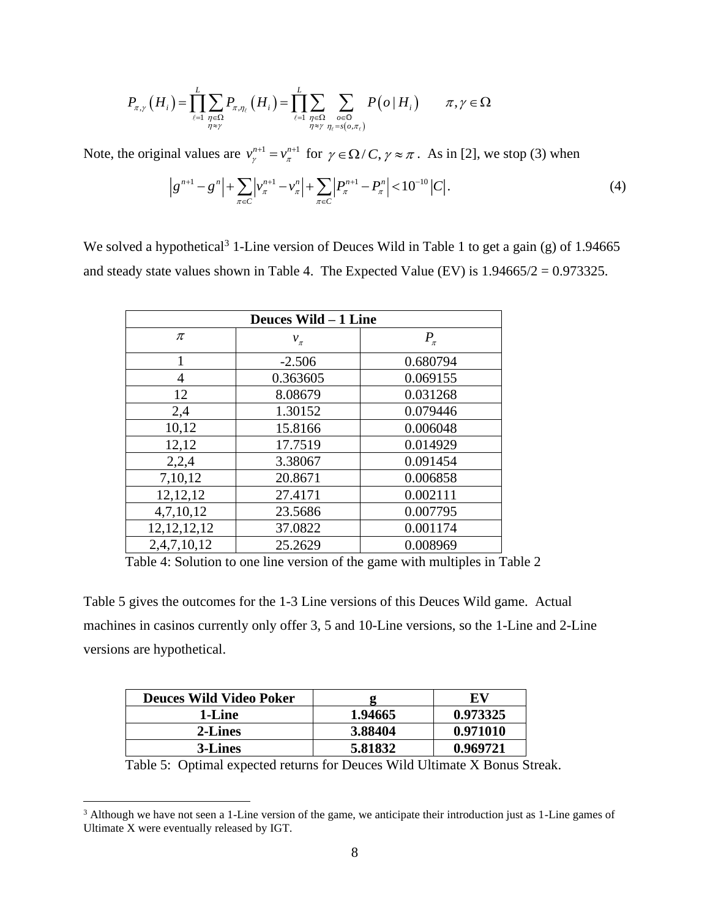$$
P_{\pi,\gamma}\left(H_i\right) = \prod_{\ell=1}^L \sum_{\substack{\eta \in \Omega \\ \eta \approx \gamma}} P_{\pi,\eta_\ell}\left(H_i\right) = \prod_{\ell=1}^L \sum_{\substack{\eta \in \Omega \\ \eta \approx \gamma}} \sum_{\substack{o \in \mathbb{O} \\ \eta \in \mathcal{S}\left(o,\pi_{\ell}\right)}} P\left(o \mid H_i\right) \qquad \pi,\gamma \in \Omega
$$

Note, the original values are  $v_{\gamma}^{n+1} = v_{\pi}^{n+1}$  for  $\gamma \in \Omega / C$ ,  $\gamma \approx \pi$ . As in [2], we stop (3) when

$$
\left|g^{n+1} - g^{n}\right| + \sum_{\pi \in C} \left|v_{\pi}^{n+1} - v_{\pi}^{n}\right| + \sum_{\pi \in C} \left|P_{\pi}^{n+1} - P_{\pi}^{n}\right| < 10^{-10} \left|C\right|.\tag{4}
$$

We solved a hypothetical<sup>3</sup> 1-Line version of Deuces Wild in Table 1 to get a gain (g) of 1.94665 and steady state values shown in Table 4. The Expected Value (EV) is  $1.94665/2 = 0.973325$ .

| Deuces Wild - 1 Line |           |           |  |  |  |
|----------------------|-----------|-----------|--|--|--|
| π                    | $v_{\pi}$ | $P_{\pi}$ |  |  |  |
| 1                    | $-2.506$  | 0.680794  |  |  |  |
| 4                    | 0.363605  | 0.069155  |  |  |  |
| 12                   | 8.08679   | 0.031268  |  |  |  |
| 2,4                  | 1.30152   | 0.079446  |  |  |  |
| 10,12                | 15.8166   | 0.006048  |  |  |  |
| 12,12                | 17.7519   | 0.014929  |  |  |  |
| 2,2,4                | 3.38067   | 0.091454  |  |  |  |
| 7,10,12              | 20.8671   | 0.006858  |  |  |  |
| 12, 12, 12           | 27.4171   | 0.002111  |  |  |  |
| 4,7,10,12            | 23.5686   | 0.007795  |  |  |  |
| 12, 12, 12, 12       | 37.0822   | 0.001174  |  |  |  |
| 2,4,7,10,12          | 25.2629   | 0.008969  |  |  |  |

Table 4: Solution to one line version of the game with multiples in Table 2

Table 5 gives the outcomes for the 1-3 Line versions of this Deuces Wild game. Actual machines in casinos currently only offer 3, 5 and 10-Line versions, so the 1-Line and 2-Line versions are hypothetical.

| <b>Deuces Wild Video Poker</b> |         | EV       |
|--------------------------------|---------|----------|
| 1-Line                         | 1.94665 | 0.973325 |
| 2-Lines                        | 3.88404 | 0.971010 |
| 3-Lines                        | 5.81832 | 0.969721 |

Table 5: Optimal expected returns for Deuces Wild Ultimate X Bonus Streak.

<sup>&</sup>lt;sup>3</sup> Although we have not seen a 1-Line version of the game, we anticipate their introduction just as 1-Line games of Ultimate X were eventually released by IGT.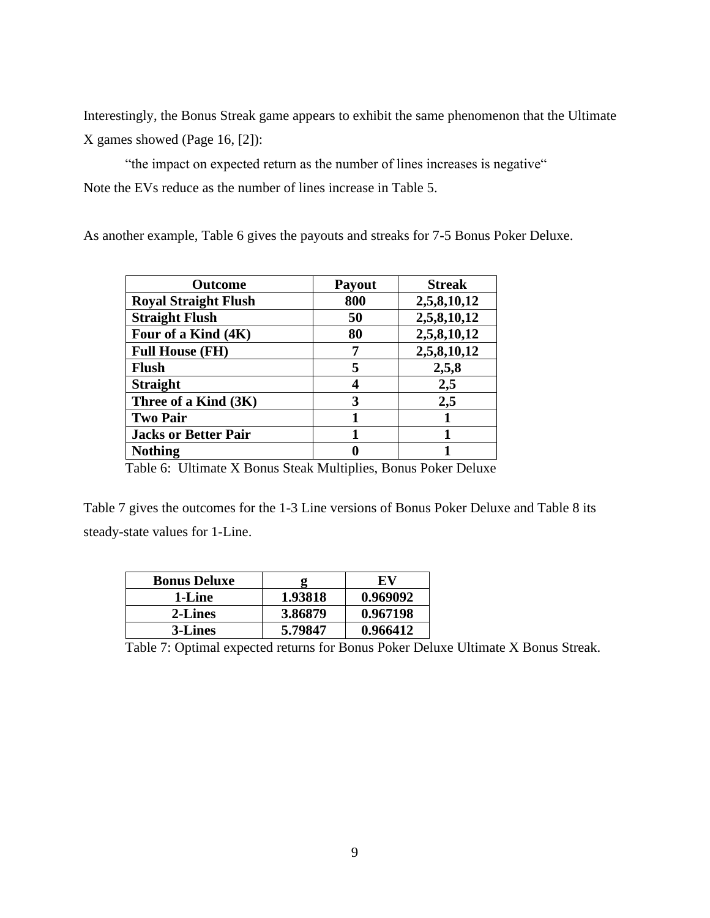Interestingly, the Bonus Streak game appears to exhibit the same phenomenon that the Ultimate X games showed (Page 16, [2]):

"the impact on expected return as the number of lines increases is negative" Note the EVs reduce as the number of lines increase in Table 5.

As another example, Table 6 gives the payouts and streaks for 7-5 Bonus Poker Deluxe.

| <b>Outcome</b>              | Payout | <b>Streak</b> |
|-----------------------------|--------|---------------|
| <b>Royal Straight Flush</b> | 800    | 2,5,8,10,12   |
| <b>Straight Flush</b>       | 50     | 2,5,8,10,12   |
| Four of a Kind (4K)         | 80     | 2,5,8,10,12   |
| <b>Full House (FH)</b>      | 7      | 2,5,8,10,12   |
| <b>Flush</b>                | 5      | 2,5,8         |
| <b>Straight</b>             | 4      | 2,5           |
| Three of a Kind (3K)        | 3      | 2,5           |
| <b>Two Pair</b>             |        |               |
| <b>Jacks or Better Pair</b> |        |               |
| <b>Nothing</b>              |        |               |

Table 6: Ultimate X Bonus Steak Multiplies, Bonus Poker Deluxe

Table 7 gives the outcomes for the 1-3 Line versions of Bonus Poker Deluxe and Table 8 its steady-state values for 1-Line.

| <b>Bonus Deluxe</b> |         | -EV      |
|---------------------|---------|----------|
| 1-Line              | 1.93818 | 0.969092 |
| 2-Lines             | 3.86879 | 0.967198 |
| 3-Lines             | 5.79847 | 0.966412 |

Table 7: Optimal expected returns for Bonus Poker Deluxe Ultimate X Bonus Streak.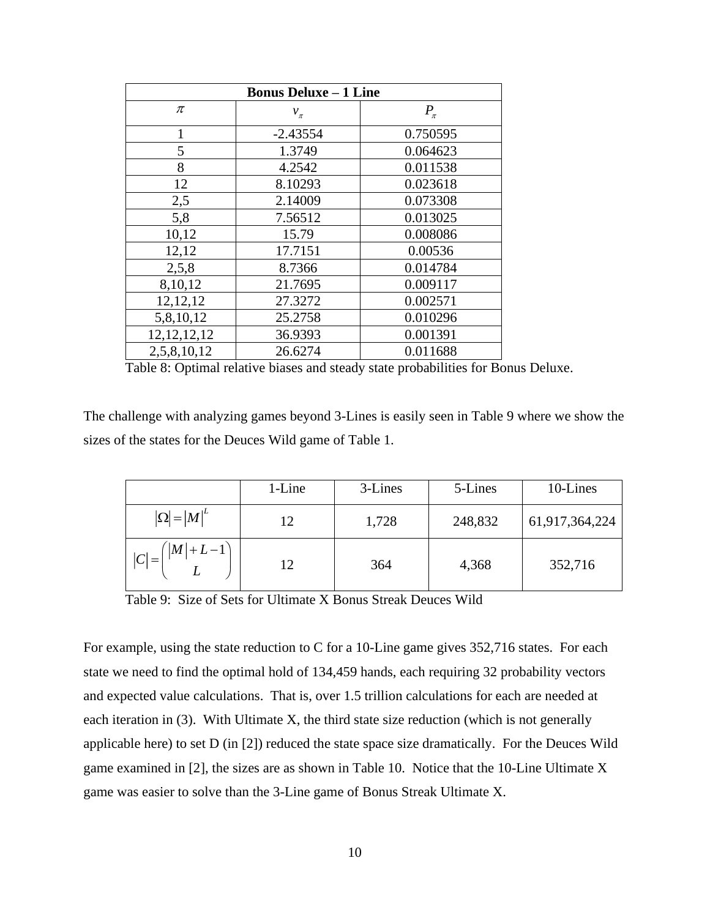| <b>Bonus Deluxe - 1 Line</b> |            |           |  |  |  |
|------------------------------|------------|-----------|--|--|--|
| π                            | $v_{\pi}$  | $P_{\pi}$ |  |  |  |
| $\mathbf{1}$                 | $-2.43554$ | 0.750595  |  |  |  |
| 5                            | 1.3749     | 0.064623  |  |  |  |
| 8                            | 4.2542     | 0.011538  |  |  |  |
| 12                           | 8.10293    | 0.023618  |  |  |  |
| 2,5                          | 2.14009    | 0.073308  |  |  |  |
| 5,8                          | 7.56512    | 0.013025  |  |  |  |
| 10,12                        | 15.79      | 0.008086  |  |  |  |
| 12,12                        | 17.7151    | 0.00536   |  |  |  |
| 2,5,8                        | 8.7366     | 0.014784  |  |  |  |
| 8,10,12                      | 21.7695    | 0.009117  |  |  |  |
| 12, 12, 12                   | 27.3272    | 0.002571  |  |  |  |
| 5,8,10,12                    | 25.2758    | 0.010296  |  |  |  |
| 12, 12, 12, 12               | 36.9393    | 0.001391  |  |  |  |
| 2,5,8,10,12                  | 26.6274    | 0.011688  |  |  |  |

Table 8: Optimal relative biases and steady state probabilities for Bonus Deluxe.

The challenge with analyzing games beyond 3-Lines is easily seen in Table 9 where we show the sizes of the states for the Deuces Wild game of Table 1.

|                                           | 1-Line | 3-Lines | 5-Lines | 10-Lines       |
|-------------------------------------------|--------|---------|---------|----------------|
| $ \Omega  =  M ^L$                        | 12     | 1,728   | 248,832 | 61,917,364,224 |
| $\left( \left  M \right  + L - 1 \right)$ | 12     | 364     | 4,368   | 352,716        |

Table 9: Size of Sets for Ultimate X Bonus Streak Deuces Wild

For example, using the state reduction to C for a 10-Line game gives 352,716 states. For each state we need to find the optimal hold of 134,459 hands, each requiring 32 probability vectors and expected value calculations. That is, over 1.5 trillion calculations for each are needed at each iteration in (3). With Ultimate X, the third state size reduction (which is not generally applicable here) to set D (in [2]) reduced the state space size dramatically. For the Deuces Wild game examined in [2], the sizes are as shown in Table 10. Notice that the 10-Line Ultimate X game was easier to solve than the 3-Line game of Bonus Streak Ultimate X.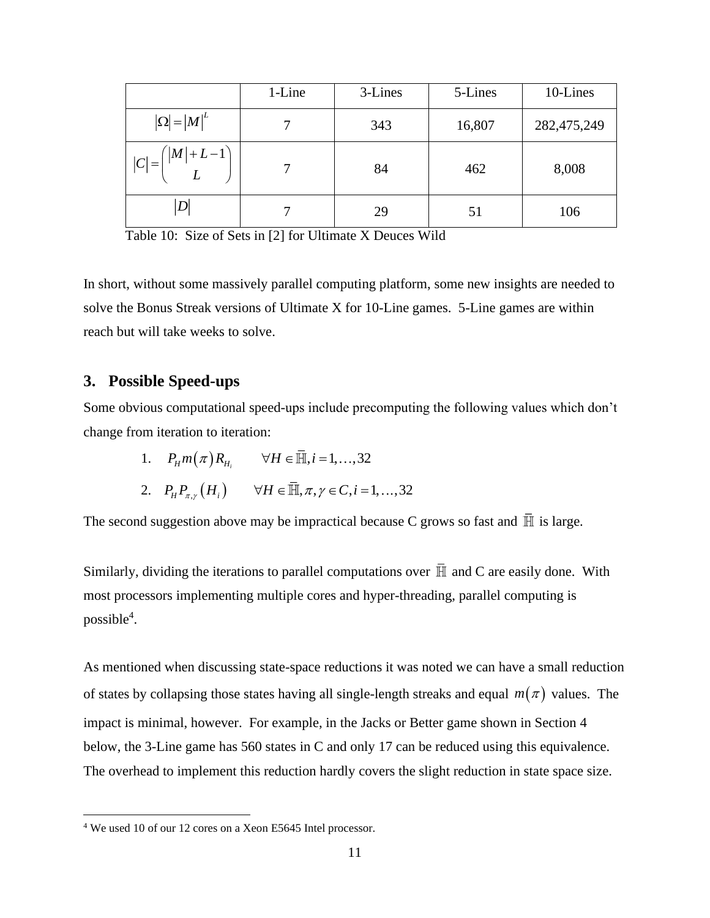|                                       | 1-Line | 3-Lines | 5-Lines | 10-Lines    |
|---------------------------------------|--------|---------|---------|-------------|
| $ \Omega  =  M ^L$                    |        | 343     | 16,807  | 282,475,249 |
| $\left  M \right  + L - 1$<br>$ C  =$ |        | 84      | 462     | 8,008       |
| D                                     |        | 29      | 51      | 106         |

Table 10: Size of Sets in [2] for Ultimate X Deuces Wild

In short, without some massively parallel computing platform, some new insights are needed to solve the Bonus Streak versions of Ultimate X for 10-Line games. 5-Line games are within reach but will take weeks to solve.

### **3. Possible Speed-ups**

Some obvious computational speed-ups include precomputing the following values which don't change from iteration to iteration:

> 1.  $P_{H}m(\pi)R_{H_{i}} \quad \forall H \in \overline{\mathbb{H}}, i = 1,...,32$  $P_{H}P_{\pi,\gamma}(H_{i}) \quad \forall H \in \overline{\mathbb{H}}, \pi, \gamma \in \mathbb{C}, i = 1, ..., 32$

The second suggestion above may be impractical because C grows so fast and  $\overline{\mathbb{H}}$  is large.

Similarly, dividing the iterations to parallel computations over  $\overline{\mathbb{H}}$  and C are easily done. With most processors implementing multiple cores and hyper-threading, parallel computing is possible<sup>4</sup>.

As mentioned when discussing state-space reductions it was noted we can have a small reduction of states by collapsing those states having all single-length streaks and equal  $m(\pi)$  values. The impact is minimal, however. For example, in the Jacks or Better game shown in Section 4 below, the 3-Line game has 560 states in C and only 17 can be reduced using this equivalence. The overhead to implement this reduction hardly covers the slight reduction in state space size.

<sup>4</sup> We used 10 of our 12 cores on a Xeon E5645 Intel processor.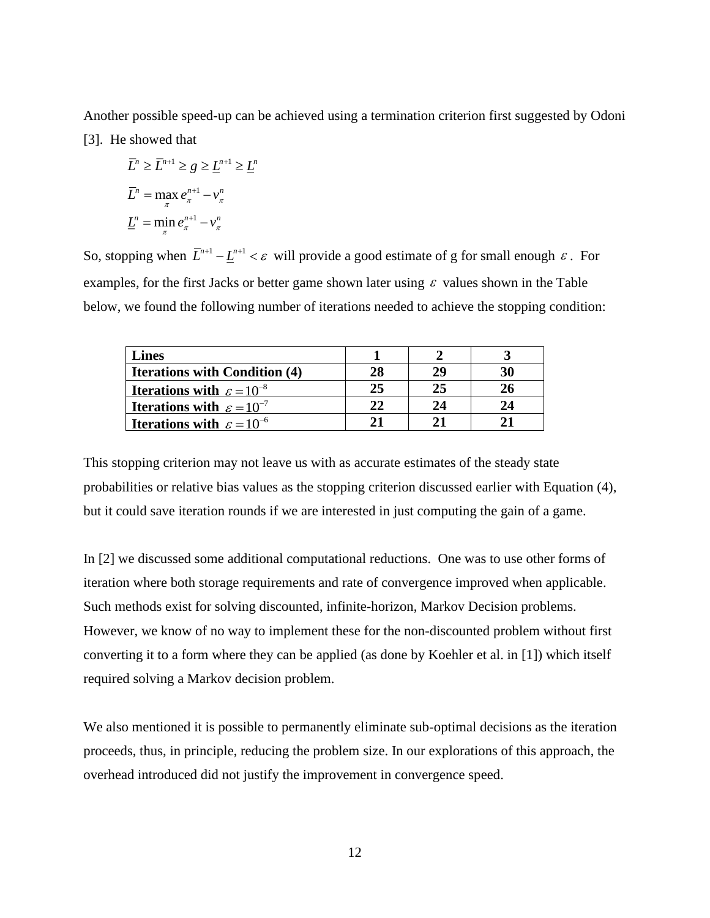Another possible speed-up can be achieved using a termination criterion first suggested by Odoni [3]. He showed that

$$
\overline{L}^n \ge \overline{L}^{n+1} \ge g \ge \underline{L}^{n+1} \ge \underline{L}^n
$$

$$
\overline{L}^n = \max_{\pi} e_{\pi}^{n+1} - \nu_{\pi}^n
$$

$$
\underline{L}^n = \min_{\pi} e_{\pi}^{n+1} - \nu_{\pi}^n
$$

So, stopping when  $\overline{L}^{n+1} - \underline{L}^{n+1} < \varepsilon$  will provide a good estimate of g for small enough  $\varepsilon$ . For examples, for the first Jacks or better game shown later using  $\varepsilon$  values shown in the Table below, we found the following number of iterations needed to achieve the stopping condition:

| <b>Lines</b>                                   |    |    |    |
|------------------------------------------------|----|----|----|
| <b>Iterations with Condition (4)</b>           | 28 | 29 | 30 |
| <b>Iterations with</b> $\varepsilon = 10^{-8}$ | 25 | 25 |    |
| <b>Iterations with</b> $\varepsilon = 10^{-7}$ | 22 | 24 | 24 |
| <b>Iterations with</b> $\varepsilon = 10^{-6}$ |    |    |    |

This stopping criterion may not leave us with as accurate estimates of the steady state probabilities or relative bias values as the stopping criterion discussed earlier with Equation (4), but it could save iteration rounds if we are interested in just computing the gain of a game.

In [2] we discussed some additional computational reductions. One was to use other forms of iteration where both storage requirements and rate of convergence improved when applicable. Such methods exist for solving discounted, infinite-horizon, Markov Decision problems. However, we know of no way to implement these for the non-discounted problem without first converting it to a form where they can be applied (as done by Koehler et al. in [1]) which itself required solving a Markov decision problem.

We also mentioned it is possible to permanently eliminate sub-optimal decisions as the iteration proceeds, thus, in principle, reducing the problem size. In our explorations of this approach, the overhead introduced did not justify the improvement in convergence speed.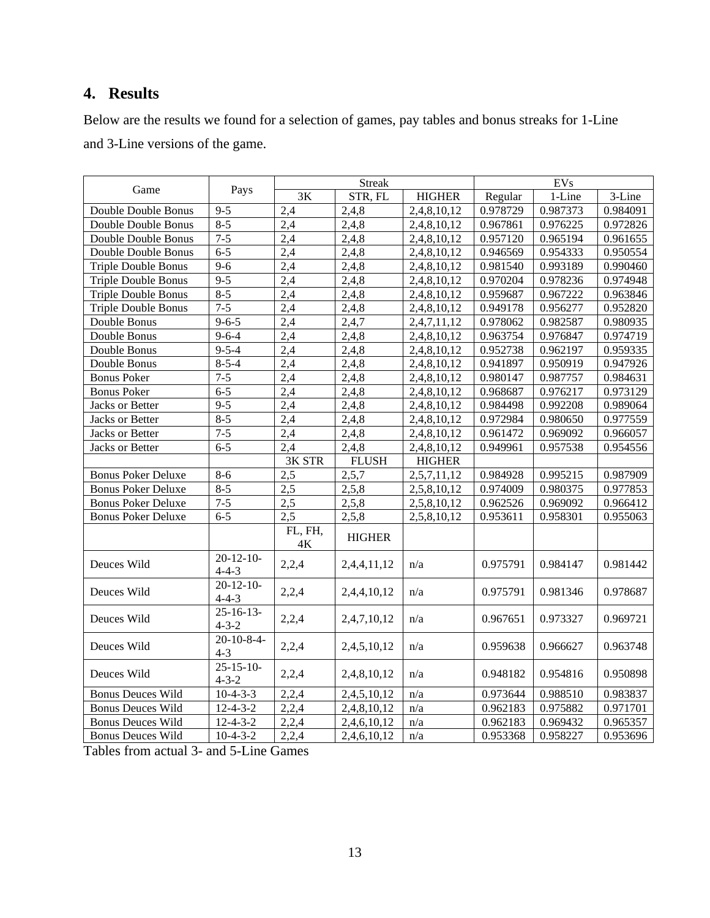## **4. Results**

Below are the results we found for a selection of games, pay tables and bonus streaks for 1-Line and 3-Line versions of the game.

|                            |                               |                          | Streak        |               |          | <b>EVs</b> |          |
|----------------------------|-------------------------------|--------------------------|---------------|---------------|----------|------------|----------|
| Game                       | Pays                          | 3K                       | STR, FL       | <b>HIGHER</b> | Regular  | 1-Line     | 3-Line   |
| Double Double Bonus        | $9 - 5$                       | 2,4                      | 2,4,8         | 2,4,8,10,12   | 0.978729 | 0.987373   | 0.984091 |
| Double Double Bonus        | $8 - 5$                       | 2,4                      | 2,4,8         | 2,4,8,10,12   | 0.967861 | 0.976225   | 0.972826 |
| Double Double Bonus        | $7 - 5$                       | 2,4                      | 2,4,8         | 2,4,8,10,12   | 0.957120 | 0.965194   | 0.961655 |
| Double Double Bonus        | $6 - 5$                       | 2,4                      | 2,4,8         | 2,4,8,10,12   | 0.946569 | 0.954333   | 0.950554 |
| <b>Triple Double Bonus</b> | $9 - 6$                       | 2,4                      | 2,4,8         | 2,4,8,10,12   | 0.981540 | 0.993189   | 0.990460 |
| <b>Triple Double Bonus</b> | $9 - 5$                       | 2,4                      | 2,4,8         | 2,4,8,10,12   | 0.970204 | 0.978236   | 0.974948 |
| <b>Triple Double Bonus</b> | $8 - 5$                       | 2,4                      | 2,4,8         | 2,4,8,10,12   | 0.959687 | 0.967222   | 0.963846 |
| <b>Triple Double Bonus</b> | $7 - 5$                       | 2,4                      | 2,4,8         | 2,4,8,10,12   | 0.949178 | 0.956277   | 0.952820 |
| Double Bonus               | $9 - 6 - 5$                   | 2,4                      | 2,4,7         | 2,4,7,11,12   | 0.978062 | 0.982587   | 0.980935 |
| Double Bonus               | $9 - 6 - 4$                   | 2,4                      | 2,4,8         | 2,4,8,10,12   | 0.963754 | 0.976847   | 0.974719 |
| Double Bonus               | $9 - 5 - 4$                   | 2,4                      | 2,4,8         | 2,4,8,10,12   | 0.952738 | 0.962197   | 0.959335 |
| Double Bonus               | $8 - 5 - 4$                   | 2,4                      | 2,4,8         | 2,4,8,10,12   | 0.941897 | 0.950919   | 0.947926 |
| <b>Bonus Poker</b>         | $7 - 5$                       | 2,4                      | 2,4,8         | 2,4,8,10,12   | 0.980147 | 0.987757   | 0.984631 |
| <b>Bonus Poker</b>         | $6 - 5$                       | 2,4                      | 2,4,8         | 2,4,8,10,12   | 0.968687 | 0.976217   | 0.973129 |
| Jacks or Better            | $9 - 5$                       | 2,4                      | 2,4,8         | 2,4,8,10,12   | 0.984498 | 0.992208   | 0.989064 |
| Jacks or Better            | $8 - 5$                       | 2,4                      | 2,4,8         | 2,4,8,10,12   | 0.972984 | 0.980650   | 0.977559 |
| <b>Jacks or Better</b>     | $7 - 5$                       | 2,4                      | 2,4,8         | 2,4,8,10,12   | 0.961472 | 0.969092   | 0.966057 |
| Jacks or Better            | $6 - 5$                       | 2,4                      | 2,4,8         | 2,4,8,10,12   | 0.949961 | 0.957538   | 0.954556 |
|                            |                               | 3K STR                   | <b>FLUSH</b>  | <b>HIGHER</b> |          |            |          |
| <b>Bonus Poker Deluxe</b>  | $8 - 6$                       | 2,5                      | 2,5,7         | 2,5,7,11,12   | 0.984928 | 0.995215   | 0.987909 |
| <b>Bonus Poker Deluxe</b>  | $8 - 5$                       | 2,5                      | 2,5,8         | 2,5,8,10,12   | 0.974009 | 0.980375   | 0.977853 |
| <b>Bonus Poker Deluxe</b>  | $7 - 5$                       | 2,5                      | 2,5,8         | 2,5,8,10,12   | 0.962526 | 0.969092   | 0.966412 |
| <b>Bonus Poker Deluxe</b>  | $6 - 5$                       | $\overline{2.5}$         | 2,5,8         | 2,5,8,10,12   | 0.953611 | 0.958301   | 0.955063 |
|                            |                               | FL, FH,<br>$4\mathrm{K}$ | <b>HIGHER</b> |               |          |            |          |
| Deuces Wild                | $20 - 12 - 10$<br>$4 - 4 - 3$ | 2,2,4                    | 2,4,4,11,12   | n/a           | 0.975791 | 0.984147   | 0.981442 |
| Deuces Wild                | $20-12-10-$<br>$4 - 4 - 3$    | 2,2,4                    | 2,4,4,10,12   | n/a           | 0.975791 | 0.981346   | 0.978687 |
| Deuces Wild                | $25 - 16 - 13$<br>$4 - 3 - 2$ | 2,2,4                    | 2,4,7,10,12   | n/a           | 0.967651 | 0.973327   | 0.969721 |
| Deuces Wild                | $20 - 10 - 8 - 4$<br>$4 - 3$  | 2,2,4                    | 2,4,5,10,12   | n/a           | 0.959638 | 0.966627   | 0.963748 |
| Deuces Wild                | $25 - 15 - 10$<br>$4 - 3 - 2$ | 2,2,4                    | 2,4,8,10,12   | n/a           | 0.948182 | 0.954816   | 0.950898 |
| <b>Bonus Deuces Wild</b>   | $10-4-3-3$                    | 2,2,4                    | 2,4,5,10,12   | n/a           | 0.973644 | 0.988510   | 0.983837 |
| <b>Bonus Deuces Wild</b>   | $12-4-3-2$                    | 2,2,4                    | 2,4,8,10,12   | n/a           | 0.962183 | 0.975882   | 0.971701 |
| <b>Bonus Deuces Wild</b>   | $12 - 4 - 3 - 2$              | 2,2,4                    | 2,4,6,10,12   | n/a           | 0.962183 | 0.969432   | 0.965357 |
| <b>Bonus Deuces Wild</b>   | $10-4-3-2$                    | 2,2,4                    | 2,4,6,10,12   | n/a           | 0.953368 | 0.958227   | 0.953696 |

Tables from actual 3- and 5-Line Games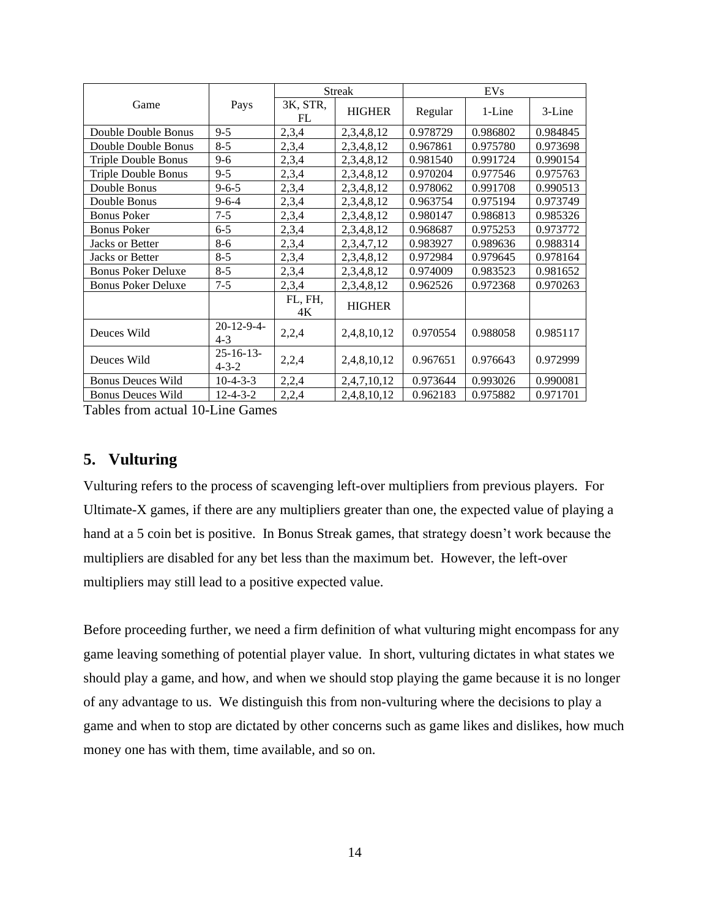|                            | Pays                          | <b>Streak</b>  |               | EVs      |          |          |
|----------------------------|-------------------------------|----------------|---------------|----------|----------|----------|
| Game                       |                               | 3K, STR,<br>FL | <b>HIGHER</b> | Regular  | 1-Line   | 3-Line   |
| Double Double Bonus        | $9 - 5$                       | 2,3,4          | 2,3,4,8,12    | 0.978729 | 0.986802 | 0.984845 |
| Double Double Bonus        | $8 - 5$                       | 2,3,4          | 2,3,4,8,12    | 0.967861 | 0.975780 | 0.973698 |
| <b>Triple Double Bonus</b> | $9 - 6$                       | 2,3,4          | 2,3,4,8,12    | 0.981540 | 0.991724 | 0.990154 |
| <b>Triple Double Bonus</b> | $9 - 5$                       | 2,3,4          | 2,3,4,8,12    | 0.970204 | 0.977546 | 0.975763 |
| Double Bonus               | $9 - 6 - 5$                   | 2,3,4          | 2,3,4,8,12    | 0.978062 | 0.991708 | 0.990513 |
| Double Bonus               | $9 - 6 - 4$                   | 2,3,4          | 2,3,4,8,12    | 0.963754 | 0.975194 | 0.973749 |
| <b>Bonus Poker</b>         | $7 - 5$                       | 2,3,4          | 2,3,4,8,12    | 0.980147 | 0.986813 | 0.985326 |
| <b>Bonus Poker</b>         | $6 - 5$                       | 2,3,4          | 2,3,4,8,12    | 0.968687 | 0.975253 | 0.973772 |
| Jacks or Better            | $8 - 6$                       | 2,3,4          | 2,3,4,7,12    | 0.983927 | 0.989636 | 0.988314 |
| Jacks or Better            | $8 - 5$                       | 2,3,4          | 2,3,4,8,12    | 0.972984 | 0.979645 | 0.978164 |
| <b>Bonus Poker Deluxe</b>  | $8 - 5$                       | 2,3,4          | 2,3,4,8,12    | 0.974009 | 0.983523 | 0.981652 |
| <b>Bonus Poker Deluxe</b>  | $7 - 5$                       | 2,3,4          | 2,3,4,8,12    | 0.962526 | 0.972368 | 0.970263 |
|                            |                               | FL, FH,<br>4K  | <b>HIGHER</b> |          |          |          |
| Deuces Wild                | $20-12-9-4-$<br>$4 - 3$       | 2,2,4          | 2,4,8,10,12   | 0.970554 | 0.988058 | 0.985117 |
| Deuces Wild                | $25 - 16 - 13$<br>$4 - 3 - 2$ | 2,2,4          | 2,4,8,10,12   | 0.967651 | 0.976643 | 0.972999 |
| <b>Bonus Deuces Wild</b>   | $10-4-3-3$                    | 2,2,4          | 2,4,7,10,12   | 0.973644 | 0.993026 | 0.990081 |
| <b>Bonus Deuces Wild</b>   | $12 - 4 - 3 - 2$              | 2,2,4          | 2,4,8,10,12   | 0.962183 | 0.975882 | 0.971701 |

Tables from actual 10-Line Games

## **5. Vulturing**

Vulturing refers to the process of scavenging left-over multipliers from previous players. For Ultimate-X games, if there are any multipliers greater than one, the expected value of playing a hand at a 5 coin bet is positive. In Bonus Streak games, that strategy doesn't work because the multipliers are disabled for any bet less than the maximum bet. However, the left-over multipliers may still lead to a positive expected value.

Before proceeding further, we need a firm definition of what vulturing might encompass for any game leaving something of potential player value. In short, vulturing dictates in what states we should play a game, and how, and when we should stop playing the game because it is no longer of any advantage to us. We distinguish this from non-vulturing where the decisions to play a game and when to stop are dictated by other concerns such as game likes and dislikes, how much money one has with them, time available, and so on.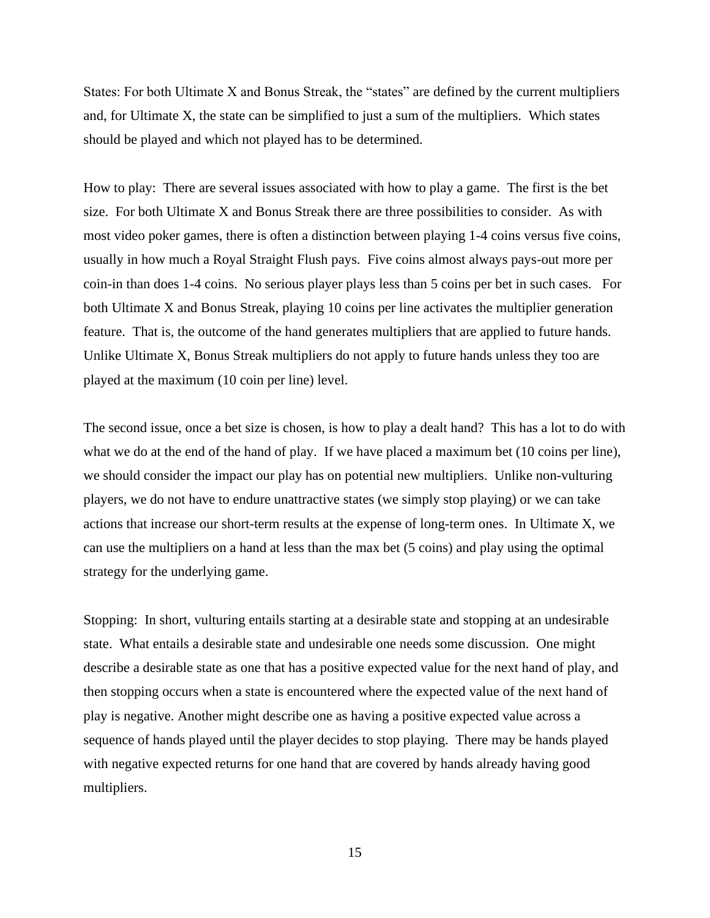States: For both Ultimate X and Bonus Streak, the "states" are defined by the current multipliers and, for Ultimate X, the state can be simplified to just a sum of the multipliers. Which states should be played and which not played has to be determined.

How to play: There are several issues associated with how to play a game. The first is the bet size. For both Ultimate X and Bonus Streak there are three possibilities to consider. As with most video poker games, there is often a distinction between playing 1-4 coins versus five coins, usually in how much a Royal Straight Flush pays. Five coins almost always pays-out more per coin-in than does 1-4 coins. No serious player plays less than 5 coins per bet in such cases. For both Ultimate X and Bonus Streak, playing 10 coins per line activates the multiplier generation feature. That is, the outcome of the hand generates multipliers that are applied to future hands. Unlike Ultimate X, Bonus Streak multipliers do not apply to future hands unless they too are played at the maximum (10 coin per line) level.

The second issue, once a bet size is chosen, is how to play a dealt hand? This has a lot to do with what we do at the end of the hand of play. If we have placed a maximum bet (10 coins per line), we should consider the impact our play has on potential new multipliers. Unlike non-vulturing players, we do not have to endure unattractive states (we simply stop playing) or we can take actions that increase our short-term results at the expense of long-term ones. In Ultimate X, we can use the multipliers on a hand at less than the max bet (5 coins) and play using the optimal strategy for the underlying game.

Stopping: In short, vulturing entails starting at a desirable state and stopping at an undesirable state. What entails a desirable state and undesirable one needs some discussion. One might describe a desirable state as one that has a positive expected value for the next hand of play, and then stopping occurs when a state is encountered where the expected value of the next hand of play is negative. Another might describe one as having a positive expected value across a sequence of hands played until the player decides to stop playing. There may be hands played with negative expected returns for one hand that are covered by hands already having good multipliers.

15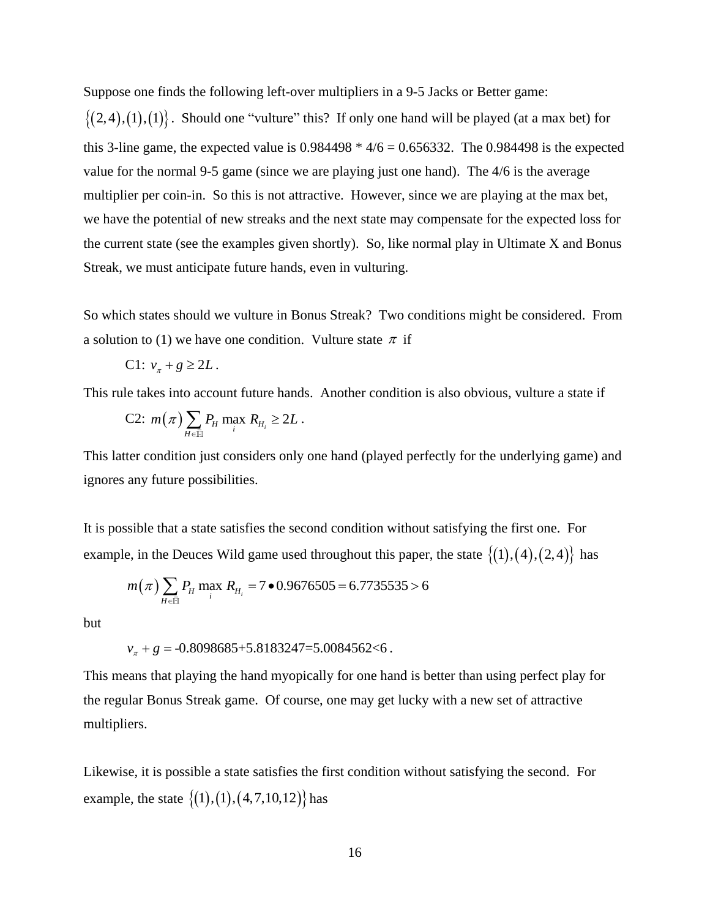Suppose one finds the following left-over multipliers in a 9-5 Jacks or Better game:

 $\{(2,4), (1), (1)\}$ . Should one "vulture" this? If only one hand will be played (at a max bet) for this 3-line game, the expected value is  $0.984498 * 4/6 = 0.656332$ . The 0.984498 is the expected value for the normal 9-5 game (since we are playing just one hand). The 4/6 is the average multiplier per coin-in. So this is not attractive. However, since we are playing at the max bet, we have the potential of new streaks and the next state may compensate for the expected loss for the current state (see the examples given shortly). So, like normal play in Ultimate X and Bonus Streak, we must anticipate future hands, even in vulturing.

So which states should we vulture in Bonus Streak? Two conditions might be considered. From a solution to (1) we have one condition. Vulture state  $\pi$  if

$$
C1: v_{\pi} + g \ge 2L.
$$

This rule takes into account future hands. Another condition is also obvious, vulture a state if

C2: 
$$
m(\pi) \sum_{H \in \overline{\mathbb{H}}} P_H \max_i R_{H_i} \geq 2L
$$
.

This latter condition just considers only one hand (played perfectly for the underlying game) and ignores any future possibilities.

It is possible that a state satisfies the second condition without satisfying the first one. For example, in the Deuces Wild game used throughout this paper, the state  $\{(1), (4), (2,4)\}$  has

$$
m(\pi) \sum_{H \in \bar{\mathbb{H}}} P_H \max_i R_{H_i} = 7 \bullet 0.9676505 = 6.7735535 > 6
$$

but

$$
v_{\pi} + g = -0.8098685 + 5.8183247 = 5.0084562 < 6.
$$

This means that playing the hand myopically for one hand is better than using perfect play for the regular Bonus Streak game. Of course, one may get lucky with a new set of attractive multipliers.

Likewise, it is possible a state satisfies the first condition without satisfying the second. For example, the state  $\{(1), (1), (4,7,10,12)\}$  has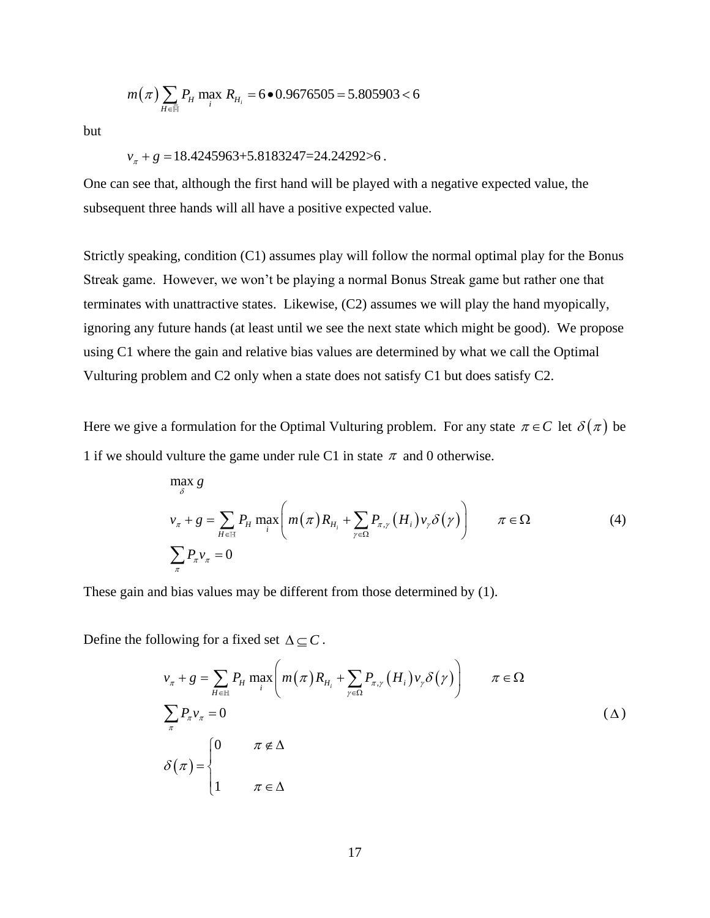$$
m(\pi)\sum_{H \in \bar{\mathbb{H}}} P_H \max_i R_{H_i} = 6 \bullet 0.9676505 = 5.805903 < 6
$$

but

#### $v_{\pi}$  +  $g$  = 18.4245963+5.8183247=24.24292>6.

One can see that, although the first hand will be played with a negative expected value, the subsequent three hands will all have a positive expected value.

(*x*)  $\sum_{n \in \mathbb{Z}} P_n \max R_{n_i} = 6 \cdot 0.9676505 = 5.805903 < 6$ <br>  $+ g = 18.4245963+5.8183247=24.24292>6$ .<br>
ee that, although the first hand will be played with<br>
three hands will all have a positive expected value<br>
eaking, conditi Strictly speaking, condition (C1) assumes play will follow the normal optimal play for the Bonus Streak game. However, we won't be playing a normal Bonus Streak game but rather one that terminates with unattractive states. Likewise, (C2) assumes we will play the hand myopically, ignoring any future hands (at least until we see the next state which might be good). We propose using C1 where the gain and relative bias values are determined by what we call the Optimal Vulturing problem and C2 only when a state does not satisfy C1 but does satisfy C2.

Here we give a formulation for the Optimal Vulturing problem. For any state  $\pi \in C$  let  $\delta(\pi)$  be 1 if we should vulture the game under rule C1 in state  $\pi$  and 0 otherwise.

$$
\max_{\delta} g
$$
\n
$$
v_{\pi} + g = \sum_{H \in \mathbb{H}} P_H \max_{i} \left( m(\pi) R_{H_i} + \sum_{\gamma \in \Omega} P_{\pi, \gamma} (H_i) v_{\gamma} \delta(\gamma) \right) \qquad \pi \in \Omega
$$
\n
$$
\sum_{\pi} P_{\pi} v_{\pi} = 0
$$
\n(4)

These gain and bias values may be different from those determined by (1).

Define the following for a fixed set  $\Delta \subseteq C$ .

$$
v_{\pi} + g = \sum_{H \in \mathbb{H}} P_H \max_{i} \left( m(\pi) R_{H_i} + \sum_{\gamma \in \Omega} P_{\pi, \gamma} (H_i) v_{\gamma} \delta(\gamma) \right) \qquad \pi \in \Omega
$$
  

$$
\sum_{\pi} P_{\pi} v_{\pi} = 0
$$
  

$$
\delta(\pi) = \begin{cases} 0 & \pi \notin \Delta \\ 1 & \pi \in \Delta \end{cases}
$$
 (A)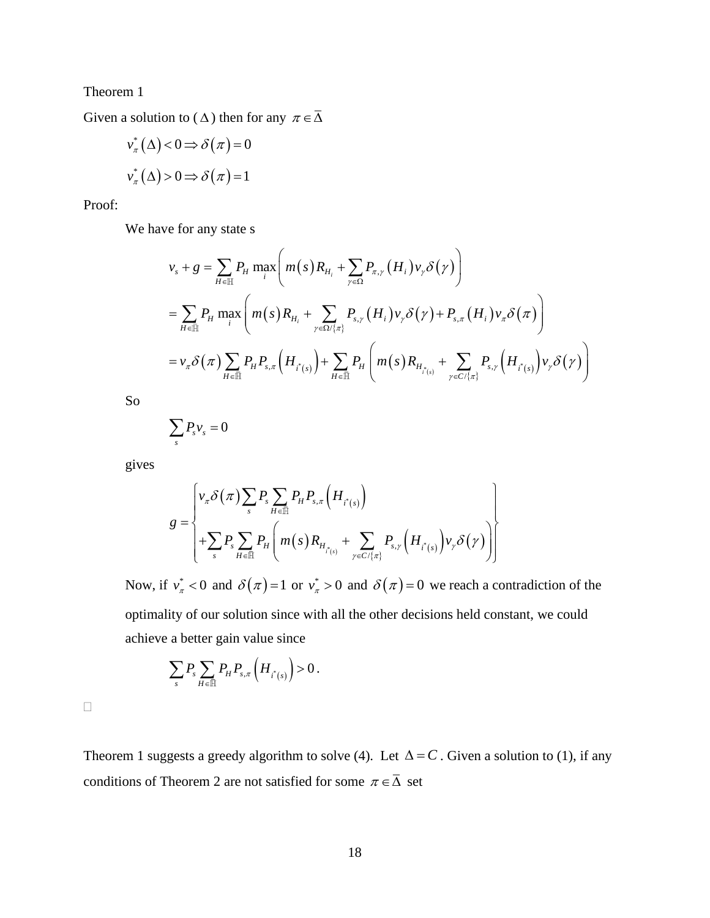Theorem 1

Given a solution to ( $\Delta$ ) then for any  $\pi \in \overline{\Delta}$ 

$$
v_{\pi}^{*}(\Delta) < 0 \Rightarrow \delta(\pi) = 0
$$
  

$$
v_{\pi}^{*}(\Delta) > 0 \Rightarrow \delta(\pi) = 1
$$

Proof:

We have for any state s

$$
v_{s} + g = \sum_{H \in \mathbb{H}} P_{H} \max_{i} \left( m(s) R_{H_{i}} + \sum_{\gamma \in \Omega} P_{\pi,\gamma} (H_{i}) v_{\gamma} \delta(\gamma) \right)
$$
  
= 
$$
\sum_{H \in \mathbb{H}} P_{H} \max_{i} \left( m(s) R_{H_{i}} + \sum_{\gamma \in \Omega / \{\pi\}} P_{s,\gamma} (H_{i}) v_{\gamma} \delta(\gamma) + P_{s,\pi} (H_{i}) v_{\pi} \delta(\pi) \right)
$$
  
= 
$$
v_{\pi} \delta(\pi) \sum_{H \in \mathbb{H}} P_{H} P_{s,\pi} (H_{i^{*}(s)}) + \sum_{H \in \mathbb{H}} P_{H} \left( m(s) R_{H_{i^{*}(s)}} + \sum_{\gamma \in C / \{\pi\}} P_{s,\gamma} (H_{i^{*}(s)}) v_{\gamma} \delta(\gamma) \right)
$$

So

$$
\sum_{s} P_{s} v_{s} = 0
$$

gives

$$
g = \begin{cases} v_{\pi} \delta(\pi) \sum_{s} P_{s} \sum_{H \in \mathbb{H}} P_{H} P_{s,\pi} \left( H_{i^{*}(s)} \right) \\ + \sum_{s} P_{s} \sum_{H \in \mathbb{H}} P_{H} \left( m(s) R_{H_{i^{*}(s)}} + \sum_{\gamma \in C / \{\pi\}} P_{s,\gamma} \left( H_{i^{*}(s)} \right) v_{\gamma} \delta(\gamma) \right) \end{cases}
$$

Now, if  $v^*_{\tau} < 0$  and  $\delta(\pi) = 1$  or  $v^*_{\tau} > 0$  and  $\delta(\pi) = 0$  we reach a contradiction of the optimality of our solution since with all the other decisions held constant, we could achieve a better gain value since

$$
\sum_{s} P_s \sum_{H \in \overline{\mathbb{H}}} P_H P_{s,\pi}\left(H_{i^*(s)}\right) > 0.
$$

 $\Box$ 

Theorem 1 suggests a greedy algorithm to solve (4). Let  $\Delta = C$ . Given a solution to (1), if any conditions of Theorem 2 are not satisfied for some  $\pi \in \overline{\Delta}$  set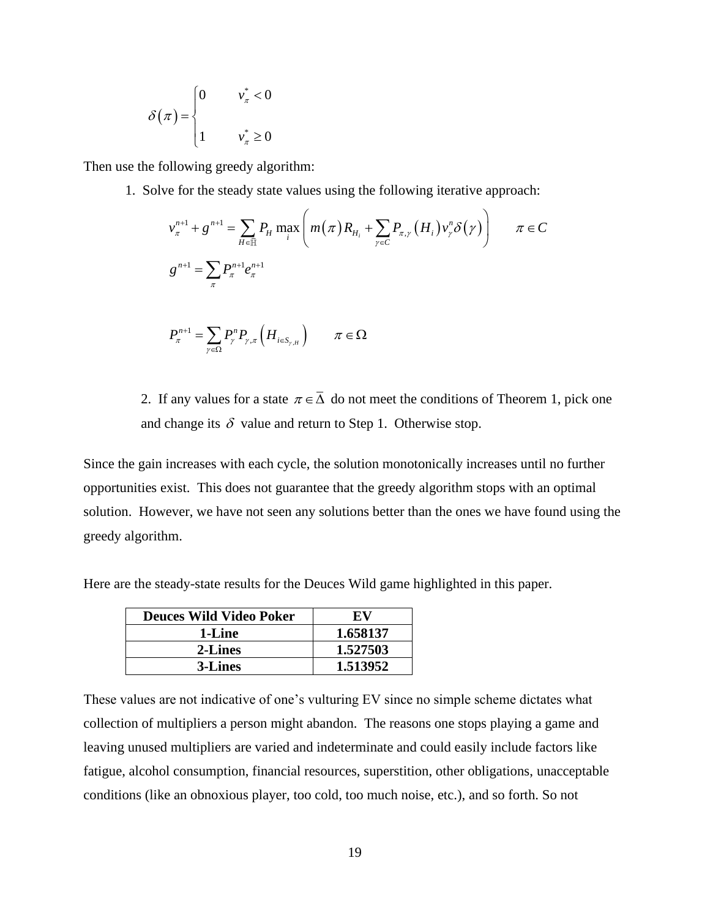$$
\delta(\pi) = \begin{cases} 0 & v_{\pi}^* < 0 \\ 1 & v_{\pi}^* \ge 0 \end{cases}
$$

Then use the following greedy algorithm:

1. Solve for the steady state values using the following iterative approach:

$$
v_{\pi}^{n+1} + g^{n+1} = \sum_{H \in \mathbb{H}} P_H \max_{i} \left( m(\pi) R_{H_i} + \sum_{\gamma \in C} P_{\pi, \gamma} (H_i) v_{\gamma}^{n} \delta(\gamma) \right) \qquad \pi \in C
$$
  

$$
g^{n+1} = \sum_{\pi} P_{\pi}^{n+1} e_{\pi}^{n+1}
$$

$$
P_{\pi}^{n+1} = \sum_{\gamma \in \Omega} P_{\gamma}^{n} P_{\gamma, \pi} \left( H_{i \in S_{\gamma, H}} \right) \qquad \pi \in \Omega
$$

2. If any values for a state  $\pi \in \overline{\Delta}$  do not meet the conditions of Theorem 1, pick one and change its  $\delta$  value and return to Step 1. Otherwise stop.

Since the gain increases with each cycle, the solution monotonically increases until no further opportunities exist. This does not guarantee that the greedy algorithm stops with an optimal solution. However, we have not seen any solutions better than the ones we have found using the greedy algorithm.

Here are the steady-state results for the Deuces Wild game highlighted in this paper.

| <b>Deuces Wild Video Poker</b> | EV.      |  |  |
|--------------------------------|----------|--|--|
| 1-Line                         | 1.658137 |  |  |
| 2-Lines                        | 1.527503 |  |  |
| 3-Lines                        | 1.513952 |  |  |

These values are not indicative of one's vulturing EV since no simple scheme dictates what collection of multipliers a person might abandon. The reasons one stops playing a game and leaving unused multipliers are varied and indeterminate and could easily include factors like fatigue, alcohol consumption, financial resources, superstition, other obligations, unacceptable conditions (like an obnoxious player, too cold, too much noise, etc.), and so forth. So not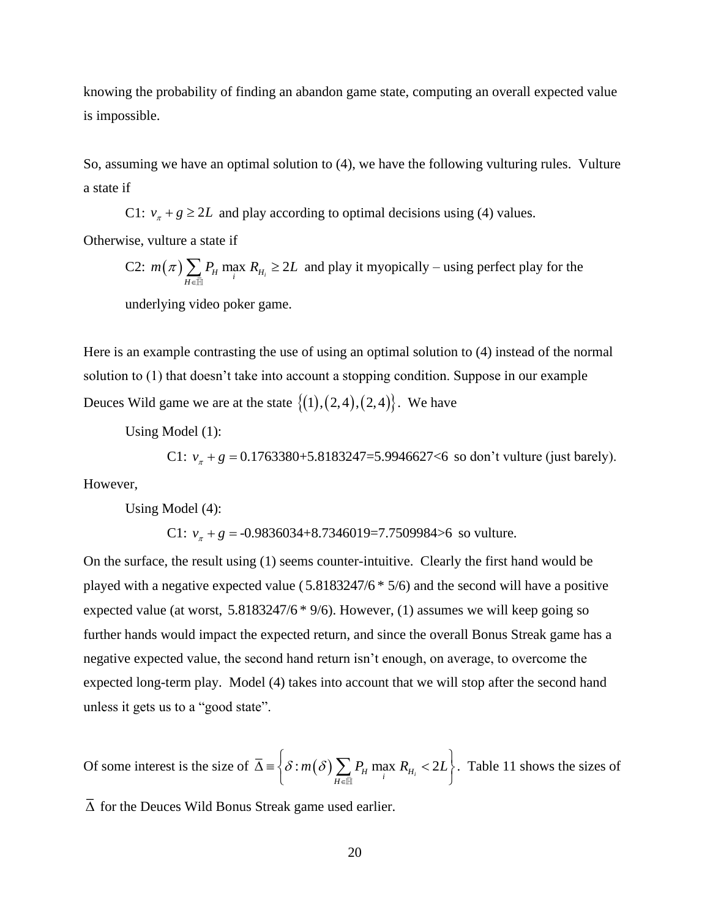knowing the probability of finding an abandon game state, computing an overall expected value is impossible.

So, assuming we have an optimal solution to (4), we have the following vulturing rules. Vulture a state if

C1:  $v_x + g \ge 2L$  and play according to optimal decisions using (4) values.

Otherwise, vulture a state if

C2: 
$$
m(\pi) \sum_{H \in \overline{\mathbb{H}}} P_H \max_i R_{H_i} \ge 2L
$$
 and play it myopically – using perfect play for the

underlying video poker game.

Here is an example contrasting the use of using an optimal solution to (4) instead of the normal solution to (1) that doesn't take into account a stopping condition. Suppose in our example Deuces Wild game we are at the state  $\{(1), (2,4), (2,4)\}$ . We have

Using Model (1):

C1:  $v_{\pi} + g = 0.1763380 + 5.8183247 = 5.9946627 < 6$  so don't vulture (just barely).

However,

Using Model (4):

C1:  $v_x + g = -0.9836034 + 8.7346019 = 7.7509984 > 6$  so vulture.

On the surface, the result using (1) seems counter-intuitive. Clearly the first hand would be played with a negative expected value ( 5.8183247/6 \* 5/6) and the second will have a positive expected value (at worst, 5.8183247/6  $*$  9/6). However, (1) assumes we will keep going so further hands would impact the expected return, and since the overall Bonus Streak game has a negative expected value, the second hand return isn't enough, on average, to overcome the expected long-term play. Model (4) takes into account that we will stop after the second hand unless it gets us to a "good state".

Of some interest is the size of  $\overline{\Delta} = \left\{ \delta : m(\delta) \sum_{H \in \overline{\mathbb{H}}} P_H \max_i R_{H_i} < 2 \right\}$  $\delta$  :  $m(\delta)$   $\sum P_n$  max  $R_n$  < 2L  $\overline{\Delta}$  =  $\left\{\delta : m(\delta) \sum_{H \in \overline{\mathbb{H}}} P_H \max_i R_{H_i} < 2L\right\}$ . Table 11 shows the sizes of

 $\Delta$  for the Deuces Wild Bonus Streak game used earlier.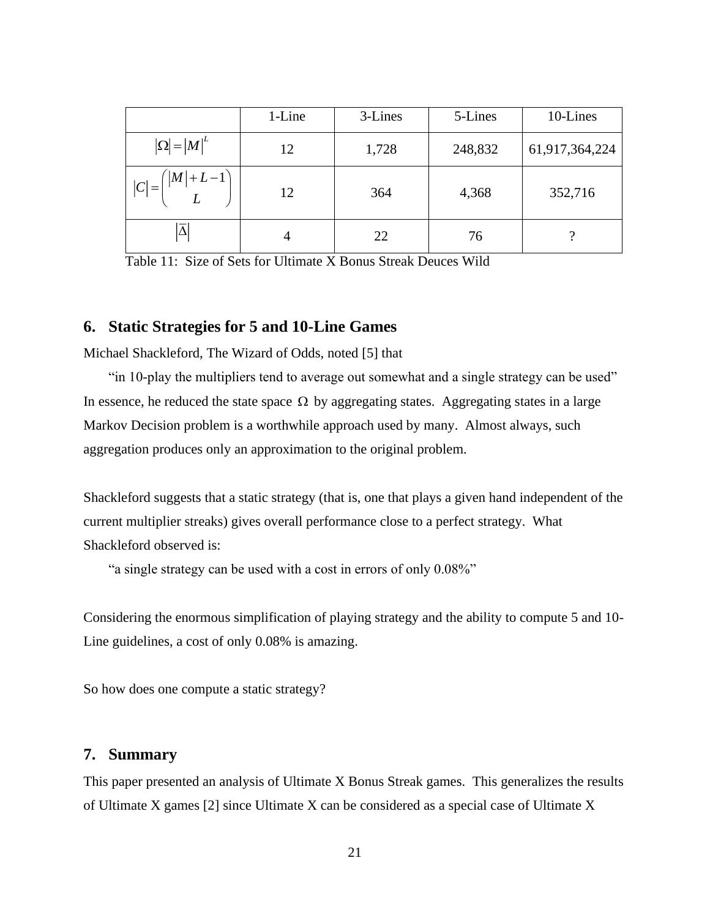|                                                     | 1-Line | 3-Lines | 5-Lines | 10-Lines       |
|-----------------------------------------------------|--------|---------|---------|----------------|
| $ \Omega  =  M ^L$                                  | 12     | 1,728   | 248,832 | 61,917,364,224 |
| $\left( \left  M \right  + L - 1 \right)$<br>$ C =$ | 12     | 364     | 4,368   | 352,716        |
|                                                     | 4      | 22      | 76      |                |

Table 11: Size of Sets for Ultimate X Bonus Streak Deuces Wild

## **6. Static Strategies for 5 and 10-Line Games**

Michael Shackleford, The Wizard of Odds, noted [5] that

"in 10-play the multipliers tend to average out somewhat and a single strategy can be used" In essence, he reduced the state space  $\Omega$  by aggregating states. Aggregating states in a large Markov Decision problem is a worthwhile approach used by many. Almost always, such aggregation produces only an approximation to the original problem.

Shackleford suggests that a static strategy (that is, one that plays a given hand independent of the current multiplier streaks) gives overall performance close to a perfect strategy. What Shackleford observed is:

"a single strategy can be used with a cost in errors of only 0.08%"

Considering the enormous simplification of playing strategy and the ability to compute 5 and 10- Line guidelines, a cost of only 0.08% is amazing.

So how does one compute a static strategy?

#### **7. Summary**

This paper presented an analysis of Ultimate X Bonus Streak games. This generalizes the results of Ultimate X games [2] since Ultimate X can be considered as a special case of Ultimate X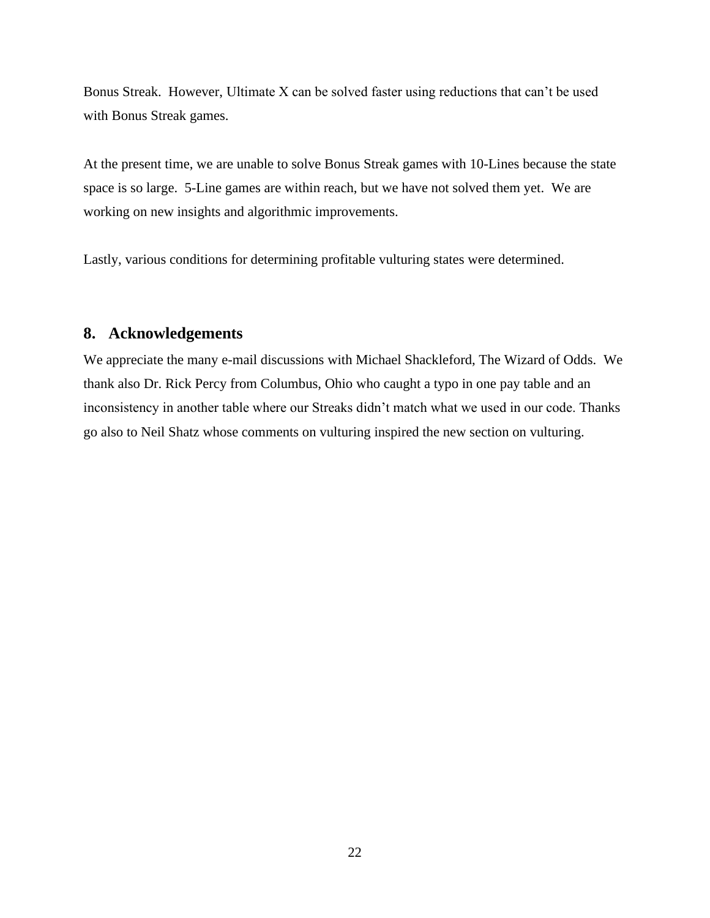Bonus Streak. However, Ultimate X can be solved faster using reductions that can't be used with Bonus Streak games.

At the present time, we are unable to solve Bonus Streak games with 10-Lines because the state space is so large. 5-Line games are within reach, but we have not solved them yet. We are working on new insights and algorithmic improvements.

Lastly, various conditions for determining profitable vulturing states were determined.

## **8. Acknowledgements**

We appreciate the many e-mail discussions with Michael Shackleford, The Wizard of Odds. We thank also Dr. Rick Percy from Columbus, Ohio who caught a typo in one pay table and an inconsistency in another table where our Streaks didn't match what we used in our code. Thanks go also to Neil Shatz whose comments on vulturing inspired the new section on vulturing.